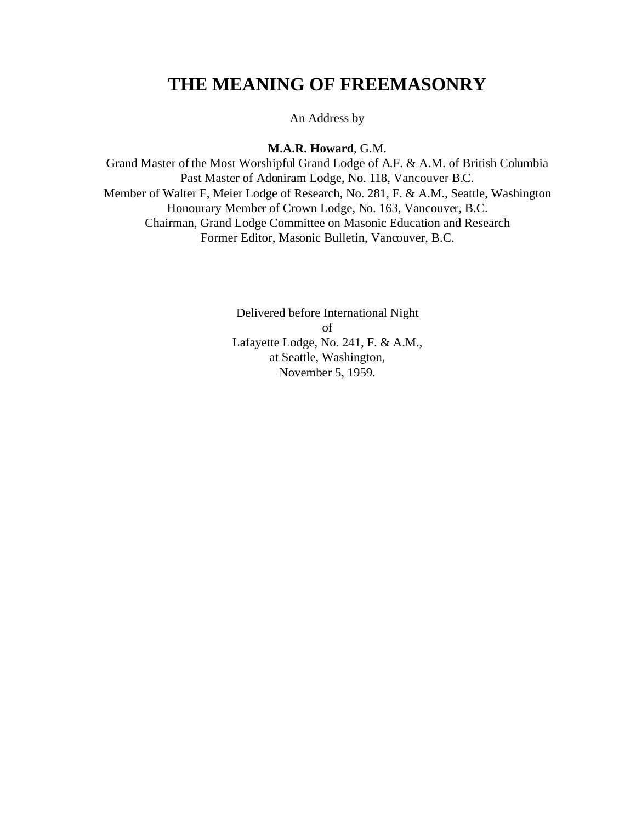## **THE MEANING OF FREEMASONRY**

An Address by

**M.A.R. Howard**, G.M.

Grand Master of the Most Worshipful Grand Lodge of A.F. & A.M. of British Columbia Past Master of Adoniram Lodge, No. 118, Vancouver B.C. Member of Walter F, Meier Lodge of Research, No. 281, F. & A.M., Seattle, Washington Honourary Member of Crown Lodge, No. 163, Vancouver, B.C. Chairman, Grand Lodge Committee on Masonic Education and Research Former Editor, Masonic Bulletin, Vancouver, B.C.

> Delivered before International Night of Lafayette Lodge, No. 241, F. & A.M., at Seattle, Washington, November 5, 1959.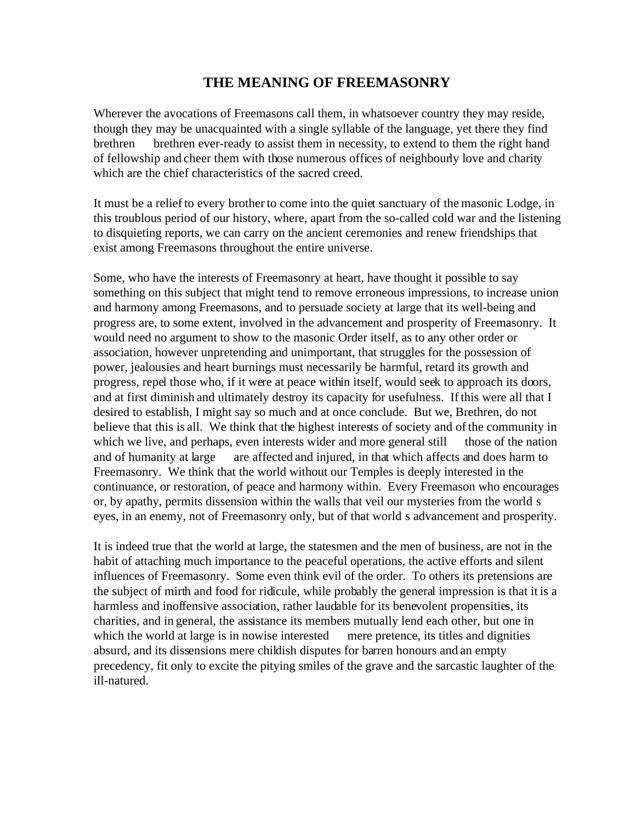## **THE MEANING OF FREEMASONRY**

Wherever the avocations of Freemasons call them, in whatsoever country they may reside, though they may be unacquainted with a single syllable of the language, yet there they find brethren brethren ever-ready to assist them in necessity, to extend to them the right hand of fellowship and cheer them with those numerous offices of neighbourly love and charity which are the chief characteristics of the sacred creed.

It must be a relief to every brother to come into the quiet sanctuary of the masonic Lodge, in this troublous period of our history, where, apart from the so-called cold war and the listening to disquieting reports, we can carry on the ancient ceremonies and renew friendships that exist among Freemasons throughout the entire universe.

Some, who have the interests of Freemasonry at heart, have thought it possible to say something on this subject that might tend to remove erroneous impressions, to increase union and harmony among Freemasons, and to persuade society at large that its well-being and progress are, to some extent, involved in the advancement and prosperity of Freemasonry. It would need no argument to show to the masonic Order itself, as to any other order or association, however unpretending and unimportant, that struggles for the possession of power, jealousies and heart burnings must necessarily be harmful, retard its growth and progress, repel those who, if it were at peace within itself, would seek to approach its doors, and at first diminish and ultimately destroy its capacity for usefulness. If this were all that I desired to establish, I might say so much and at once conclude. But we, Brethren, do not believe that this is all. We think that the highest interests of society and of the community in which we live, and perhaps, even interests wider and more general still those of the nation and of humanity at large are affected and injured, in that which affects and does harm to Freemasonry. We think that the world without our Temples is deeply interested in the continuance, or restoration, of peace and harmony within. Every Freemason who encourages or, by apathy, permits dissension within the walls that veil our mysteries from the world s eyes, in an enemy, not of Freemasonry only, but of that world s advancement and prosperity.

It is indeed true that the world at large, the statesmen and the men of business, are not in the habit of attaching much importance to the peaceful operations, the active efforts and silent influences of Freemasonry. Some even think evil of the order. To others its pretensions are the subject of mirth and food for ridicule, while probably the general impression is that it is a harmless and inoffensive association, rather laudable for its benevolent propensities, its charities, and in general, the assistance its members mutually lend each other, but one in which the world at large is in nowise interested mere pretence, its titles and dignities absurd, and its dissensions mere childish disputes for barren honours and an empty precedency, fit only to excite the pitying smiles of the grave and the sarcastic laughter of the ill-natured.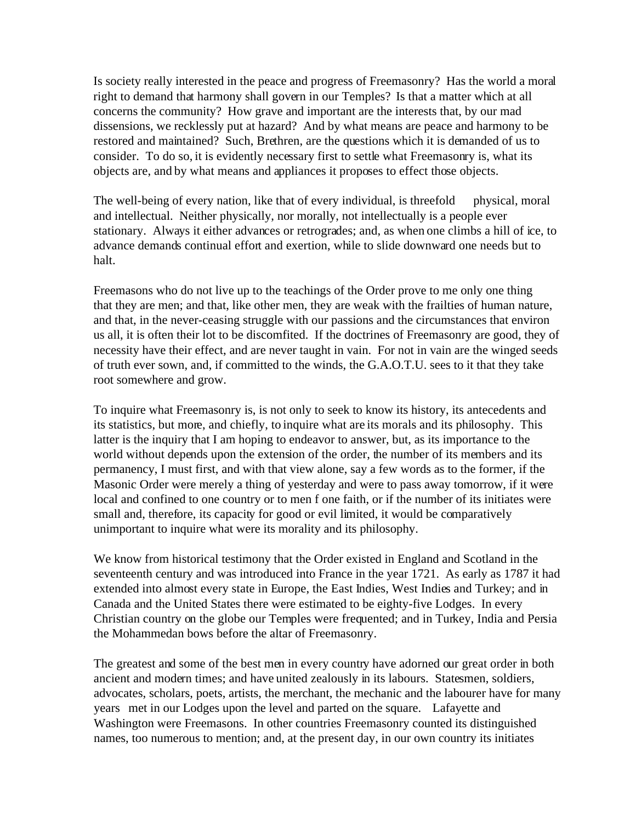Is society really interested in the peace and progress of Freemasonry? Has the world a moral right to demand that harmony shall govern in our Temples? Is that a matter which at all concerns the community? How grave and important are the interests that, by our mad dissensions, we recklessly put at hazard? And by what means are peace and harmony to be restored and maintained? Such, Brethren, are the questions which it is demanded of us to consider. To do so, it is evidently necessary first to settle what Freemasonry is, what its objects are, and by what means and appliances it proposes to effect those objects.

The well-being of every nation, like that of every individual, is threefold physical, moral and intellectual. Neither physically, nor morally, not intellectually is a people ever stationary. Always it either advances or retrogrades; and, as when one climbs a hill of ice, to advance demands continual effort and exertion, while to slide downward one needs but to halt.

Freemasons who do not live up to the teachings of the Order prove to me only one thing that they are men; and that, like other men, they are weak with the frailties of human nature, and that, in the never-ceasing struggle with our passions and the circumstances that environ us all, it is often their lot to be discomfited. If the doctrines of Freemasonry are good, they of necessity have their effect, and are never taught in vain. For not in vain are the winged seeds of truth ever sown, and, if committed to the winds, the G.A.O.T.U. sees to it that they take root somewhere and grow.

To inquire what Freemasonry is, is not only to seek to know its history, its antecedents and its statistics, but more, and chiefly, to inquire what are its morals and its philosophy. This latter is the inquiry that I am hoping to endeavor to answer, but, as its importance to the world without depends upon the extension of the order, the number of its members and its permanency, I must first, and with that view alone, say a few words as to the former, if the Masonic Order were merely a thing of yesterday and were to pass away tomorrow, if it were local and confined to one country or to men f one faith, or if the number of its initiates were small and, therefore, its capacity for good or evil limited, it would be comparatively unimportant to inquire what were its morality and its philosophy.

We know from historical testimony that the Order existed in England and Scotland in the seventeenth century and was introduced into France in the year 1721. As early as 1787 it had extended into almost every state in Europe, the East Indies, West Indies and Turkey; and in Canada and the United States there were estimated to be eighty-five Lodges. In every Christian country on the globe our Temples were frequented; and in Turkey, India and Persia the Mohammedan bows before the altar of Freemasonry.

The greatest and some of the best men in every country have adorned our great order in both ancient and modern times; and have united zealously in its labours. Statesmen, soldiers, advocates, scholars, poets, artists, the merchant, the mechanic and the labourer have for many years met in our Lodges upon the level and parted on the square. Lafayette and Washington were Freemasons. In other countries Freemasonry counted its distinguished names, too numerous to mention; and, at the present day, in our own country its initiates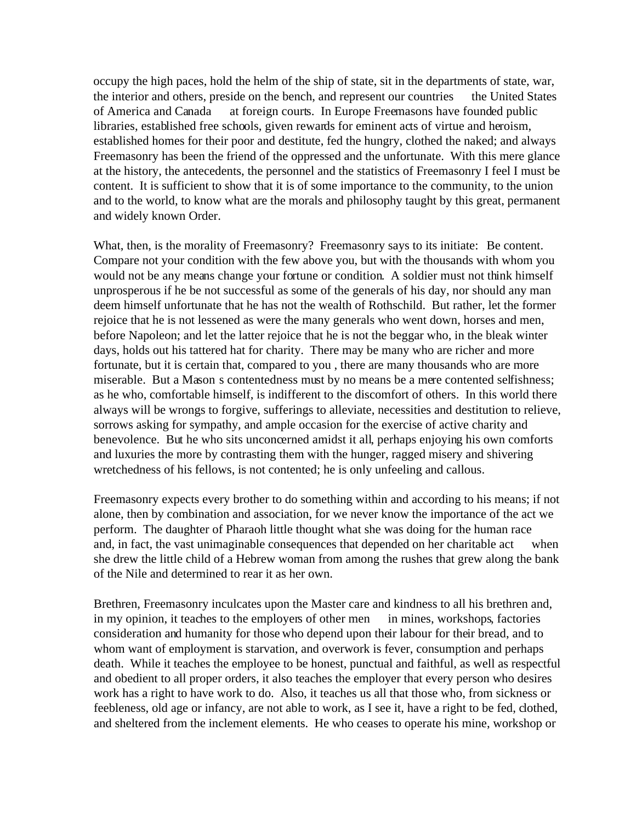occupy the high paces, hold the helm of the ship of state, sit in the departments of state, war, the interior and others, preside on the bench, and represent our countries the United States of America and Canada at foreign courts. In Europe Freemasons have founded public libraries, established free schools, given rewards for eminent acts of virtue and heroism, established homes for their poor and destitute, fed the hungry, clothed the naked; and always Freemasonry has been the friend of the oppressed and the unfortunate. With this mere glance at the history, the antecedents, the personnel and the statistics of Freemasonry I feel I must be content. It is sufficient to show that it is of some importance to the community, to the union and to the world, to know what are the morals and philosophy taught by this great, permanent and widely known Order.

What, then, is the morality of Freemasonry? Freemasonry says to its initiate: Be content. Compare not your condition with the few above you, but with the thousands with whom you would not be any means change your fortune or condition. A soldier must not think himself unprosperous if he be not successful as some of the generals of his day, nor should any man deem himself unfortunate that he has not the wealth of Rothschild. But rather, let the former rejoice that he is not lessened as were the many generals who went down, horses and men, before Napoleon; and let the latter rejoice that he is not the beggar who, in the bleak winter days, holds out his tattered hat for charity. There may be many who are richer and more fortunate, but it is certain that, compared to you , there are many thousands who are more miserable. But a Mason s contentedness must by no means be a mere contented selfishness; as he who, comfortable himself, is indifferent to the discomfort of others. In this world there always will be wrongs to forgive, sufferings to alleviate, necessities and destitution to relieve, sorrows asking for sympathy, and ample occasion for the exercise of active charity and benevolence. But he who sits unconcerned amidst it all, perhaps enjoying his own comforts and luxuries the more by contrasting them with the hunger, ragged misery and shivering wretchedness of his fellows, is not contented; he is only unfeeling and callous.

Freemasonry expects every brother to do something within and according to his means; if not alone, then by combination and association, for we never know the importance of the act we perform. The daughter of Pharaoh little thought what she was doing for the human race and, in fact, the vast unimaginable consequences that depended on her charitable act when she drew the little child of a Hebrew woman from among the rushes that grew along the bank of the Nile and determined to rear it as her own.

Brethren, Freemasonry inculcates upon the Master care and kindness to all his brethren and, in my opinion, it teaches to the employers of other men in mines, workshops, factories consideration and humanity for those who depend upon their labour for their bread, and to whom want of employment is starvation, and overwork is fever, consumption and perhaps death. While it teaches the employee to be honest, punctual and faithful, as well as respectful and obedient to all proper orders, it also teaches the employer that every person who desires work has a right to have work to do. Also, it teaches us all that those who, from sickness or feebleness, old age or infancy, are not able to work, as I see it, have a right to be fed, clothed, and sheltered from the inclement elements. He who ceases to operate his mine, workshop or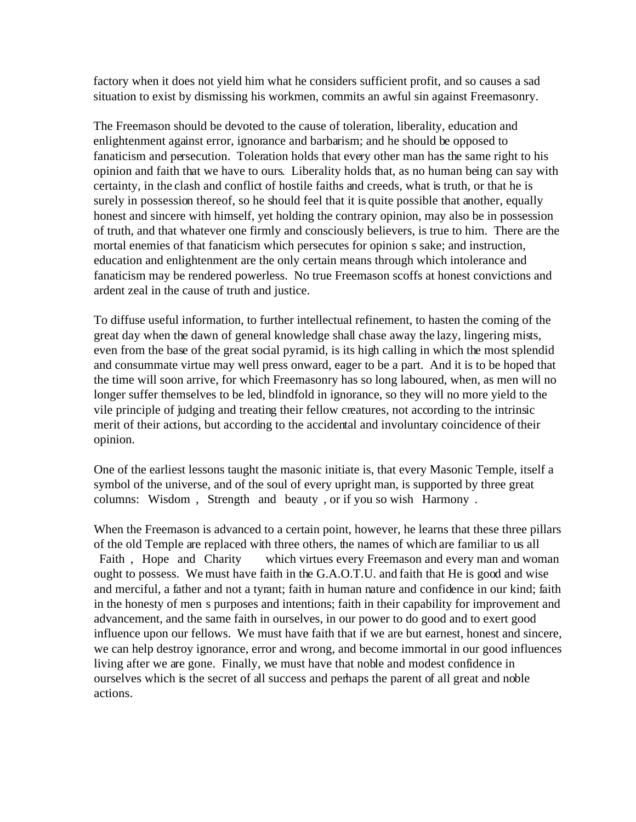factory when it does not yield him what he considers sufficient profit, and so causes a sad situation to exist by dismissing his workmen, commits an awful sin against Freemasonry.

The Freemason should be devoted to the cause of toleration, liberality, education and enlightenment against error, ignorance and barbarism; and he should be opposed to fanaticism and persecution. Toleration holds that every other man has the same right to his opinion and faith that we have to ours. Liberality holds that, as no human being can say with certainty, in the clash and conflict of hostile faiths and creeds, what is truth, or that he is surely in possession thereof, so he should feel that it is quite possible that another, equally honest and sincere with himself, yet holding the contrary opinion, may also be in possession of truth, and that whatever one firmly and consciously believers, is true to him. There are the mortal enemies of that fanaticism which persecutes for opinion s sake; and instruction, education and enlightenment are the only certain means through which intolerance and fanaticism may be rendered powerless. No true Freemason scoffs at honest convictions and ardent zeal in the cause of truth and justice.

To diffuse useful information, to further intellectual refinement, to hasten the coming of the great day when the dawn of general knowledge shall chase away the lazy, lingering mists, even from the base of the great social pyramid, is its high calling in which the most splendid and consummate virtue may well press onward, eager to be a part. And it is to be hoped that the time will soon arrive, for which Freemasonry has so long laboured, when, as men will no longer suffer themselves to be led, blindfold in ignorance, so they will no more yield to the vile principle of judging and treating their fellow creatures, not according to the intrinsic merit of their actions, but according to the accidental and involuntary coincidence of their opinion.

One of the earliest lessons taught the masonic initiate is, that every Masonic Temple, itself a symbol of the universe, and of the soul of every upright man, is supported by three great columns: Wisdom, Strength and beauty, or if you so wish Harmony.

When the Freemason is advanced to a certain point, however, he learns that these three pillars of the old Temple are replaced with three others, the names of which are familiar to us all Faith, Hope and Charity which virtues every Freemason and every man and woman ought to possess. We must have faith in the G.A.O.T.U. and faith that He is good and wise and merciful, a father and not a tyrant; faith in human nature and confidence in our kind; faith in the honesty of men s purposes and intentions; faith in their capability for improvement and advancement, and the same faith in ourselves, in our power to do good and to exert good influence upon our fellows. We must have faith that if we are but earnest, honest and sincere, we can help destroy ignorance, error and wrong, and become immortal in our good influences living after we are gone. Finally, we must have that noble and modest confidence in ourselves which is the secret of all success and perhaps the parent of all great and noble actions.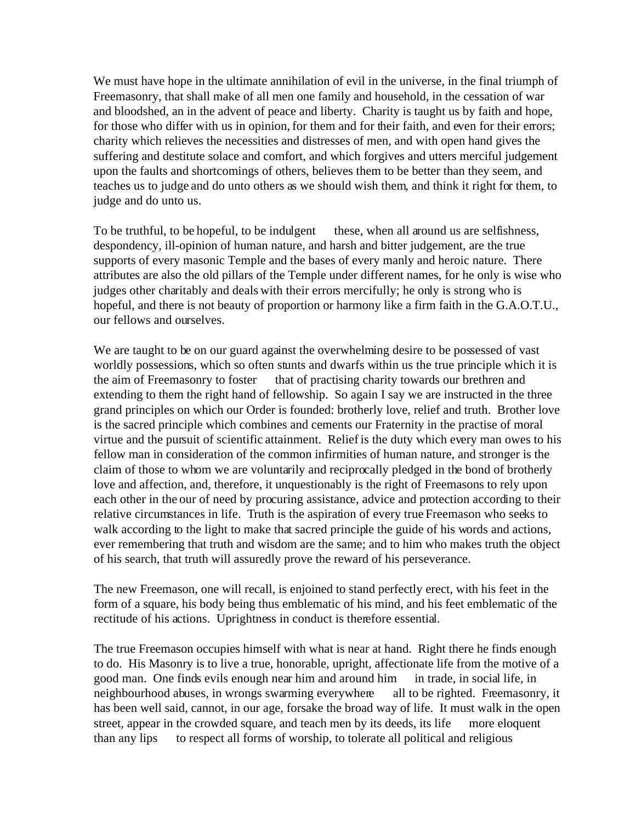We must have hope in the ultimate annihilation of evil in the universe, in the final triumph of Freemasonry, that shall make of all men one family and household, in the cessation of war and bloodshed, an in the advent of peace and liberty. Charity is taught us by faith and hope, for those who differ with us in opinion, for them and for their faith, and even for their errors; charity which relieves the necessities and distresses of men, and with open hand gives the suffering and destitute solace and comfort, and which forgives and utters merciful judgement upon the faults and shortcomings of others, believes them to be better than they seem, and teaches us to judge and do unto others as we should wish them, and think it right for them, to judge and do unto us.

To be truthful, to be hopeful, to be indulgent these, when all around us are selfishness, despondency, ill-opinion of human nature, and harsh and bitter judgement, are the true supports of every masonic Temple and the bases of every manly and heroic nature. There attributes are also the old pillars of the Temple under different names, for he only is wise who judges other charitably and deals with their errors mercifully; he only is strong who is hopeful, and there is not beauty of proportion or harmony like a firm faith in the G.A.O.T.U., our fellows and ourselves.

We are taught to be on our guard against the overwhelming desire to be possessed of vast worldly possessions, which so often stunts and dwarfs within us the true principle which it is the aim of Freemasonry to foster that of practising charity towards our brethren and extending to them the right hand of fellowship. So again I say we are instructed in the three grand principles on which our Order is founded: brotherly love, relief and truth. Brother love is the sacred principle which combines and cements our Fraternity in the practise of moral virtue and the pursuit of scientific attainment. Relief is the duty which every man owes to his fellow man in consideration of the common infirmities of human nature, and stronger is the claim of those to whom we are voluntarily and reciprocally pledged in the bond of brotherly love and affection, and, therefore, it unquestionably is the right of Freemasons to rely upon each other in the our of need by procuring assistance, advice and protection according to their relative circumstances in life. Truth is the aspiration of every true Freemason who seeks to walk according to the light to make that sacred principle the guide of his words and actions, ever remembering that truth and wisdom are the same; and to him who makes truth the object of his search, that truth will assuredly prove the reward of his perseverance.

The new Freemason, one will recall, is enjoined to stand perfectly erect, with his feet in the form of a square, his body being thus emblematic of his mind, and his feet emblematic of the rectitude of his actions. Uprightness in conduct is therefore essential.

The true Freemason occupies himself with what is near at hand. Right there he finds enough to do. His Masonry is to live a true, honorable, upright, affectionate life from the motive of a good man. One finds evils enough near him and around him in trade, in social life, in neighbourhood abuses, in wrongs swarming everywhere all to be righted. Freemasonry, it has been well said, cannot, in our age, forsake the broad way of life. It must walk in the open street, appear in the crowded square, and teach men by its deeds, its life more eloquent than any lips to respect all forms of worship, to tolerate all political and religious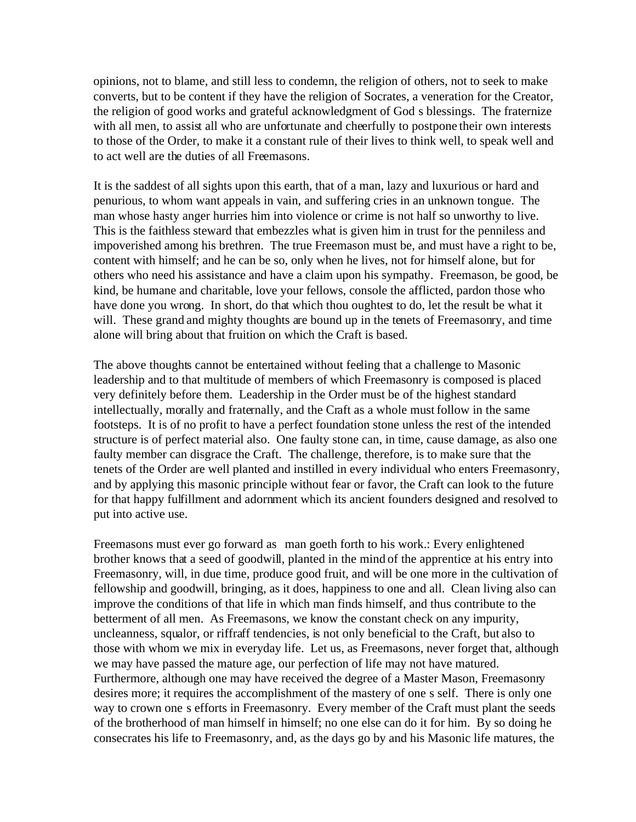opinions, not to blame, and still less to condemn, the religion of others, not to seek to make converts, but to be content if they have the religion of Socrates, a veneration for the Creator, the religion of good works and grateful acknowledgment of God s blessings. The fraternize with all men, to assist all who are unfortunate and cheerfully to postpone their own interests to those of the Order, to make it a constant rule of their lives to think well, to speak well and to act well are the duties of all Freemasons.

It is the saddest of all sights upon this earth, that of a man, lazy and luxurious or hard and penurious, to whom want appeals in vain, and suffering cries in an unknown tongue. The man whose hasty anger hurries him into violence or crime is not half so unworthy to live. This is the faithless steward that embezzles what is given him in trust for the penniless and impoverished among his brethren. The true Freemason must be, and must have a right to be, content with himself; and he can be so, only when he lives, not for himself alone, but for others who need his assistance and have a claim upon his sympathy. Freemason, be good, be kind, be humane and charitable, love your fellows, console the afflicted, pardon those who have done you wrong. In short, do that which thou oughtest to do, let the result be what it will. These grand and mighty thoughts are bound up in the tenets of Freemasonry, and time alone will bring about that fruition on which the Craft is based.

The above thoughts cannot be entertained without feeling that a challenge to Masonic leadership and to that multitude of members of which Freemasonry is composed is placed very definitely before them. Leadership in the Order must be of the highest standard intellectually, morally and fraternally, and the Craft as a whole must follow in the same footsteps. It is of no profit to have a perfect foundation stone unless the rest of the intended structure is of perfect material also. One faulty stone can, in time, cause damage, as also one faulty member can disgrace the Craft. The challenge, therefore, is to make sure that the tenets of the Order are well planted and instilled in every individual who enters Freemasonry, and by applying this masonic principle without fear or favor, the Craft can look to the future for that happy fulfillment and adornment which its ancient founders designed and resolved to put into active use.

Freemasons must ever go forward as man goeth forth to his work.: Every enlightened brother knows that a seed of goodwill, planted in the mind of the apprentice at his entry into Freemasonry, will, in due time, produce good fruit, and will be one more in the cultivation of fellowship and goodwill, bringing, as it does, happiness to one and all. Clean living also can improve the conditions of that life in which man finds himself, and thus contribute to the betterment of all men. As Freemasons, we know the constant check on any impurity, uncleanness, squalor, or riffraff tendencies, is not only beneficial to the Craft, but also to those with whom we mix in everyday life. Let us, as Freemasons, never forget that, although we may have passed the mature age, our perfection of life may not have matured. Furthermore, although one may have received the degree of a Master Mason, Freemasonry desires more; it requires the accomplishment of the mastery of one s self. There is only one way to crown one s efforts in Freemasonry. Every member of the Craft must plant the seeds of the brotherhood of man himself in himself; no one else can do it for him. By so doing he consecrates his life to Freemasonry, and, as the days go by and his Masonic life matures, the